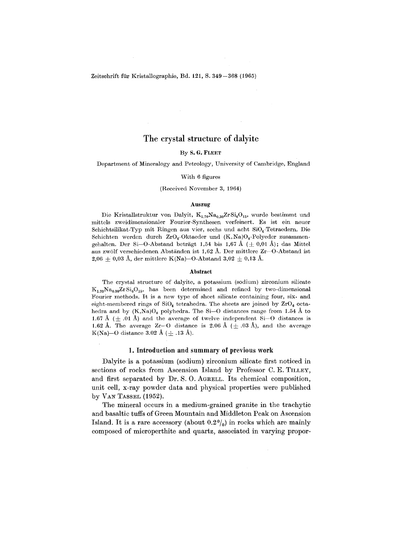Zeitschrift fiir Kristallographie, Bd. 121, S. 349-368 (1965)

# The crystal structure of dalyite

## By S. G. FLEET

Department of Mineralogy and Petrology, University of Cambridge, England

#### With 6 figures

(Received November 3, 1964)

#### Auszug

Die Kristallstruktur von Dalyit,  $K_{1.70}Na_{0.30}ZrSi_6O_{15}$ , wurde bestimmt und mittels zweidimensionaler Fourier-Synthesen verfeinert, Es ist ein neuer Schichtsilikat-Typ mit Ringen aus vier, sechs und acht Si04-Tetraedern, Die Schichten werden durch  $ZrO_6$ -Oktaeder und  $(K,Na)O_8$ -Polyeder zusammengehalten. Der Si-O-Abstand beträgt 1,54 bis 1,67 Å ( $\pm$  0,01 Å); das Mittel aus zw6lf verschiedenen Abstanden ist 1,62 A, Der mittlere Zr-O-Abstand ist  $2,06 \pm 0,03$  Å, der mittlere K(Na)-O-Abstand 3,02  $\pm$  0,13 Å.

#### Abstract

The crystal structure of dalyite, a potassium (sodium) zirconium silicate  $K_{1.70}Na_{0.30}ZrSi_6O_{15}$ , has been determined and refined by two-dimensional Fourier methods, It is a new type of sheet silicate containing four, six- and eight-membered rings of  $SiO_4$  tetrahedra. The sheets are joined by  $ZrO_6$  octahedra and by  $(K,Na)O_8$  polyhedra. The Si-O distances range from 1.54 Å to 1.67 Å  $(\pm .01 \text{ Å})$  and the average of twelve independent Si-O distances is 1.62 Å. The average Zr-O distance is 2.06 Å ( $\pm$  .03 Å), and the average K(Na)-O distance 3.02 Å ( $\pm$  .13 Å).

#### 1. Introduction and summary of previous work

Dalyite is a potassium (sodium) zirconium silicate first noticed in sections of rocks from Ascension Island by Professor C. E. TILLEY, and first separated by Dr. S. O. AGRELL. Its chemical composition, unit cell, x-ray powder data and physical properties were published by VAN TASSEL (1952).

The mineral occurs in a medium-grained granite in the trachytic and basaltic tuffs of Green Mountain and Middleton Peak on Ascension Island. It is a rare accessory (about  $0.2\frac{0}{0}$ ) in rocks which are mainly composed of microperthite and quartz, associated in varying propor-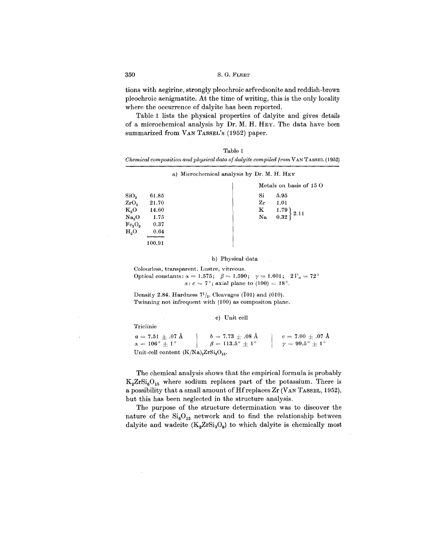tions with aegirine, strongly pleochroic arfvedsonite and reddish-brown pleochroic aenigmatite. At the time of writing, this is the only locality where the occurrence of dalyite has been reported.

Table 1 lists the physical properties of dalyite and gives details of a microchemical analysis by Dr. M. H. HEY. The data have been summarized from VAN TASSEL'S (1952) paper.

| Table 1                                                                           |  |
|-----------------------------------------------------------------------------------|--|
| Chemical composition and physical data of dalyite compiled from VAN TASSEL (1952) |  |

|                                |        | a) Microchemical analysis by Dr. M. H. HEY |                         |         |                      |  |  |  |  |
|--------------------------------|--------|--------------------------------------------|-------------------------|---------|----------------------|--|--|--|--|
|                                |        |                                            | Metals on basis of 15 O |         |                      |  |  |  |  |
| SiO <sub>2</sub>               | 61.85  |                                            | Si                      |         | 5.95                 |  |  |  |  |
| ZrO <sub>2</sub>               | 21,70  |                                            |                         | Zr      | 1.01                 |  |  |  |  |
| $K_2O$                         | 14.60  |                                            |                         |         | 1.79                 |  |  |  |  |
| Na <sub>2</sub> O              | 1.75   |                                            |                         | K<br>Na | $\big\}2.11$<br>0.32 |  |  |  |  |
| Fe <sub>2</sub> O <sub>3</sub> | 0.37   |                                            |                         |         |                      |  |  |  |  |
| H <sub>2</sub> O               | 0.64   |                                            |                         |         |                      |  |  |  |  |
|                                | 100.91 |                                            |                         |         |                      |  |  |  |  |

#### b) Physical data

Colourless, transparent. Lustre, vitreous.  $\text{Optical constants: } \alpha = 1.575; \quad \beta = 1.590; \quad \gamma = 1.601; \quad 2V_{\alpha} = 72^{\circ},$  $\alpha: c = 7^{\circ}$ ; axial plane to (100) = 18°.

Density 2.84. Hardness  $7^{1}/_{2}$ . Cleavages (101) and (010). Twinning not infrequent with (100) as compositon plane.

#### c) Unit cell

| Triclinic                             |                                       |                                       |
|---------------------------------------|---------------------------------------|---------------------------------------|
| $a = 7.51 + .07$ Å                    | $b = 7.73 + .08~\text{\AA}$           | $c\,=\,7.00\,+\,.07~\rm\AA$           |
| $\alpha = 106^{\circ} + 1^{\circ}$    | $\beta = 113.5^{\circ} \pm 1^{\circ}$ | $\gamma = 99.5^{\circ} \pm 1^{\circ}$ |
| Unit-cell content $(K/Na)2ZrSi6O15$ . |                                       |                                       |

The chemical analysis shows that the empirical formula is probably  $K_2ZrSi_6O_{15}$  where sodium replaces part of the potassium. There is a possibility that a small amount of Hfreplaces Zr (VAN TASSEL, 1952), but this has been neglected in the structure analysis.

The purpose of the structure determination was to discover the nature of the  $Si_6O_{15}$  network and to find the relationship between dalyite and wadeite  $(K_2ZrSi_3O_9)$  to which dalyite is chemically most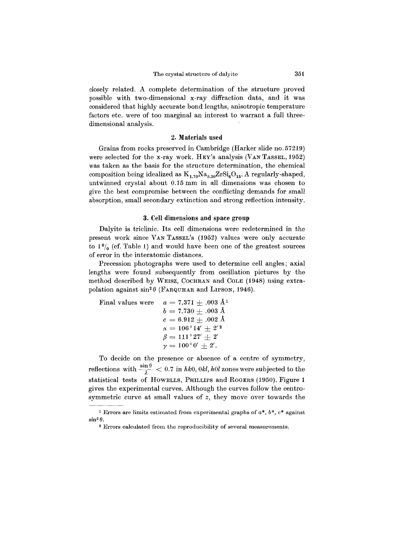closely related. A complete determination of the structure proved possible with two-dimensional x-ray diffraction data, and it was considered that highly accurate bond lengths, anisotropic temperature factors etc. were of too marginal an interest to warrant a full threedimensional analysis. .

#### 2. Materials used

Grains from rocks preserved in Cambridge (Harker slide no.57219) were selected for the x-ray work. HEY's analysis (VAN TASSEL, 1952) was taken as the basis for the structure determination, the chemical composition being idealized as  $K_{1.70}Na_{0.30}ZrSi_6O_{15}$ . A regularly-shaped, untwinned crystal about 0.15 mm in all dimensions was chosen to give the best compromise between the conflicting demands for small absorption, small secondary extinction and strong reflection intensity.

### 3. Cell dimensions and space group

Dalyite is triclinic. Its cell dimensions were redetermined in the present work since VAN TASSEL'S (1952) values were only accurate to  $1\frac{0}{0}$  (cf. Table 1) and would have been one of the greatest sources of error in the interatomic distances.

Precession photographs were used to determine cell angles; axial lengths were found subsequently from oscillation pictures by the method described by WEISZ, COCHRAN and COLE (1948) using extrapolation against  $\sin^2 \theta$  (FARQUHAR and LIPSON, 1946).

Final values were

\n
$$
a = 7.371 \pm .003 \, \text{\AA}^1
$$
\n
$$
b = 7.730 \pm .003 \, \text{\AA}
$$
\n
$$
c = 6.912 \pm .002 \, \text{\AA}
$$
\n
$$
\alpha = 106^{\circ}14' \pm 2'^2
$$
\n
$$
\beta = 111^{\circ}27' \pm 2'
$$
\n
$$
\gamma = 100^{\circ}0' \pm 2'.
$$

To decide on the presence or absence of a centre of symmetry,  $\text{reflections with } \frac{\sin \theta}{\lambda} < 0.7 \text{ in } \hbar k0, \, 0 \textit{kl}, \hbar 0 \textit{l} \text{ zones were subjected to the } \theta.$ statistical tests of HOWELLS, PHILLIPS and ROGERS (1950). Figure 1 gives the experimental curves. Although the curves follow the centrosymmetric curve at small values of *z,* they move over towards the

<sup>1</sup> Errors are limits estimated from experimental graphs of *a\*, b\*,* c\* against  $\sin^2\theta$ .

<sup>2</sup> Errors calculated from the reproducibility of several measurements.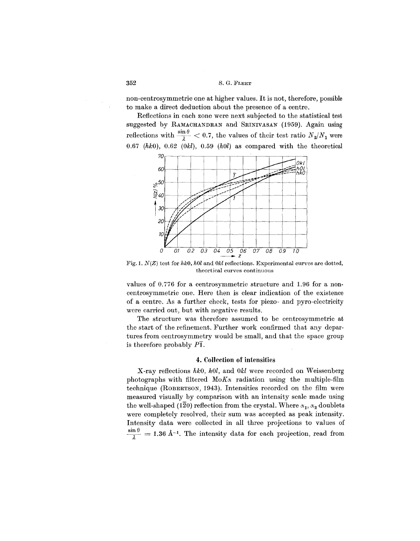non-centrosymmetric one at higher values. It is not, therefore, possible to make a direct deduction about the presence of a centre.

Reflections in each zone were next subjected to the statistical test suggested by RAMACHANDRAN and SRINIVASAN (1959). Again using reflections with  $\frac{\sin \theta}{\lambda} < 0.7$ , the values of their test ratio  $N_2/N_1$  were *0.67 (hkO),* 0.62 *(Okl),* 0.59 *(hOl)* as compared with the theoretical



Fig. 1. *N(Z)* test for *hkO, hOl* and *Okl* reflections. Experimental curves are dotted, theortical curves continuous

values of 0.776 for a centrosymmetric structure and 1.96 for a noncentrosymmetric one. Here then is clear indication of the existence of a centre. As a further check, tests for piezo- and pyro-electricity were carried out, but with negative results.

The structure was therefore assumed to be centrosymmetric at the start of the refinement. Further work confirmed that any departures from centrosymmetry would be small, and that the space group is therefore probably *PI.*

### **4. Collection of intensities**

X-ray reflections *hkO, hOl,* and *Okl* were recorded on Weissenberg photographs with filtered  $M \circ K \alpha$  radiation using the multiple-film technique (ROBERTSON, 1943). Intensities recorded on the film were measured visually by comparison with an intensity scale made using the well-shaped (120) reflection from the crystal. Where  $\alpha_1, \alpha_2$  doublets were completely resolved, their sum was accepted as peak intensity. Intensity data were collected in all three projections to values of  $\frac{\sin \theta}{\lambda} = 1.36 \text{ Å}^{-1}$ . The intensity data for each projection, read from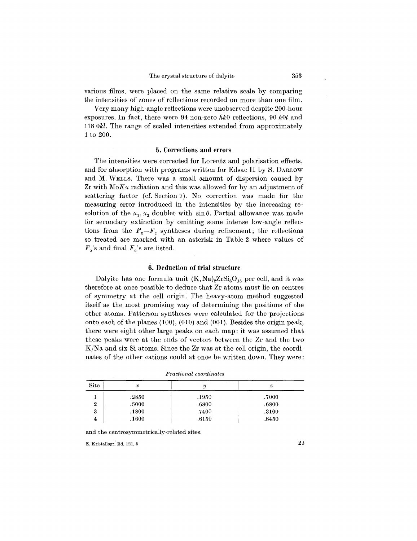various films, were placed on the same relative scale by comparing the intensities of zones of reflections recorded on more than one film.

Very many high-angle reflections were unobserved despite 200-hour exposures. In fact, there were 94 non-zero *hkO* reflections, 90 *hOl* and 118 *Okl.* The range of scaled intensities extended from approximately 1 to 200.

#### 5. Corrections and errors

The intensities were corrected for Lorentz and polarisation effects, and for absorption with programs written for Edsac II by S. DARLOW and M. WELLS. There was a small amount of dispersion caused by  $Zr$  with  $MoK\alpha$  radiation and this was allowed for by an adjustment of scattering factor (cf. Section 7). No correction was made for the measuring error introduced in the intensities by the increasing resolution of the  $x_1, x_2$  doublet with  $\sin \theta$ . Partial allowance was made for secondary extinction by omitting some intense low-angle reflections from the  $F_o-F_e$  syntheses during refinement; the reflections so treated are marked with an asterisk in Table 2 where values of  $F_o$ 's and final  $F_o$ 's are listed.

## 6. Deduction of trial structure

Dalyite has one formula unit  $(K,Na)<sub>2</sub>ZrSi<sub>6</sub>O<sub>15</sub>$  per cell, and it was therefore at once possible to deduce that Zr atoms must lie on centres of symmetry at the cell origin. The heavy-atom method suggested itself as the most promising way of determining the positions of the other atoms. Patterson syntheses were calculated for the projections onto each of the planes (100), (010) and (001). Besides the origin peak, there were eight other large peaks on each map: it was assumed that these peaks were at the ends of vectors between the Zr and the two *KINa* and six Si atoms. Since the Zr was at the cell origin, the coordinates of the other cations could at once be written down. They were:

| Site             | $\mathcal{X}$ | Y     | z     |
|------------------|---------------|-------|-------|
|                  | .2850         | .1950 | .7000 |
| $\boldsymbol{2}$ | .5000         | .6800 | .6800 |
| 3                | .1800         | .7400 | .3100 |
| 4                | .1600         | .6150 | .8450 |

and the centrosymmetrically-related sites.

Z. Kristallogr. Bd. 121, 5  $23$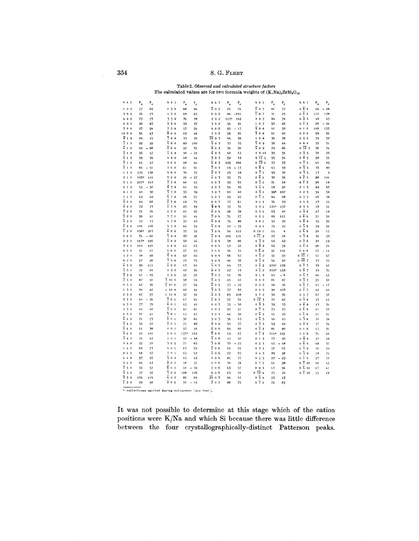#### Table 2. Observed and calculated structure factors The calculated values are for two formula weights of  $(K, Na)<sub>2</sub>ZrSi<sub>6</sub>O<sub>15</sub>$

| h k 1                           | $\mathbf{r}_{_{\mathrm{o}}}$ | $\mathbf{F}_{\mathbf{c}}$ | h k 1                     |                    | ₽.               | $F_c$                          |                    | h k l                     | г.               | Р.             | h k 1                              |                          | $F_{o}$        | ۴.             | h k 1                       | ғ.       | ۴.            |
|---------------------------------|------------------------------|---------------------------|---------------------------|--------------------|------------------|--------------------------------|--------------------|---------------------------|------------------|----------------|------------------------------------|--------------------------|----------------|----------------|-----------------------------|----------|---------------|
| $1 \t0 \t0$                     | 57                           | 69                        |                           | 0.50               | 88               | 96                             |                    | $\overline{1}$ 0 2        | 20               | 24             | 607                                |                          | 81             | 72             | $0\,$ 6 4                   | 46       | $-28$         |
| 300                             | 24                           | 23                        |                           | 150                | 69               | 63                             |                    | $0 \t0 \t2$               | 86               | $-101$         | $\overline{1}$ 0 7                 |                          | 31             | 25             | $0\bar{4}h$                 | 112      | 138           |
| 400                             | 73                           | 73                        |                           | 350                | 76               | 78                             |                    | 202                       | $117*$           | 142            | $0 \t0 \t7$                        |                          | 84             | 74             | $0\bar{2}4$                 | 46       | 43            |
| 600                             | 90                           | 87                        |                           | 550                | 39               | 37                             |                    | 302                       | 94               | 91             | $1\quad 0$                         | $\overline{7}$           | 52             | 46             | $0\bar{1}4$                 | 26       | $-24$         |
| 700                             | 27                           | 24                        |                           | 750                | 53               | 56                             |                    | 402                       | 25               | $-17$          | 90                                 | 8                        | 41             | 39             | 014                         | 109      | 133           |
| 1000                            | 54                           | 43                        |                           | $\overline{8}$ 6 0 | 49               | 48                             |                    | 702                       | 58               | 56             | 308                                |                          | 61             | 66             | 024                         | 59       | 56            |
| $\overline{8}$ 1 0              | 24                           | 19                        |                           | 760                | 33               | 26                             | 1003               |                           | 64               | 56             | 108                                |                          | 36             | 38             | 0.54                        | 39       | 32            |
| $\overline{7}$ 1 0              | 22                           | 22                        | $\sqrt{4}$ 6 0            |                    | 89               | 100                            | 503                |                           | 37               | 35             | 509                                |                          | 56             | 44             | 0, 6, 4                     | 52       | 51            |
| 610                             | 62                           | $-66$                     | $\overline{2}$ 6 0        |                    | 32               | 32                             |                    | $\overline{8}$ 0 3        | 34               | 30             | ች 0 9                              |                          | 79             | 66             | $0\,10\,5$                  | 36       | 34            |
| 510                             | 56                           | 47                        |                           | 160                | 30               | 25<br>$\overline{\phantom{a}}$ |                    | 603                       | 42               | 43             | 0 0 10                             |                          | 39             | 31             | $0\bar{9}5$                 | 30       | $^{22}$       |
| $\sqrt{4}$ 1 0                  | 93                           | 92                        |                           | 060                | 48               | 41                             |                    | 503                       | 52               | 49             | $0 \overline{11} 1$                |                          | 55             | 54             | $0\bar{8}5$                 | 58       | 55            |
| 310                             | 14                           | 1 <sup>2</sup>            |                           | 260                | 58               | 64                             | $\overline{4}03$   |                           | 129              | 160            | $0 \ \overline{10} \ 1$            |                          | 37             | 33             | $0\,7\,5$                   | 44       | 29            |
| $\overline{2}$ 1 0              | 66                           | $-51$                     |                           | 560                | 61               | 51                             |                    | $\overline{3}$ 0 3        | 19               | $-13$          | $0\,$ $\overline{8}$ $\,1$         |                          | 45             | 39             | 055                         | 72       | 80            |
| 1 1 0                           | 135                          | 138                       |                           | 460                | 34               | 37                             |                    | $\overline{2}$ 0 3        | 25               | 18             | $0\,7\,1$                          |                          | 46             | 30             | $0\bar{3}5$                 | 13       | 9             |
| 210                             | $102*$                       | 110                       |                           | 560                | 26               | $^{27}$<br>$\blacksquare$      |                    | $\overline{1}$ 0 3        | 72               | 74             | 061                                |                          | 58             | 56             | $0\bar{2}5$                 | 88       | 101           |
| 310                             | $127*$                       | 143                       |                           | $\overline{7}$ 7 0 | 46               | 45                             |                    | 003                       | 59               | 65             | $0\,51$                            |                          | $^{21}$        | 18             | o ī 5                       | 20       | 18            |
| 4 1 0                           | 52                           | $-50$                     |                           | შ7 0               | $\mathfrak{h}_1$ | 39                             |                    | 203                       | 94               | 95             | $0\sqrt{4}$ 1                      |                          | 18             | 20             | 015                         | 62       | 67            |
| 6 1 0                           | 40                           | 30                        |                           | 570                | 35               | 29                             |                    | 303                       | 62               | 60             | $0 \frac{1}{3} 1$                  |                          | 99*            | 107            | 025                         | 54       | 58            |
| 710<br>$\frac{1}{9}$ 2 0        | 49                           | 49                        | $\frac{1}{4}$ 7 0         |                    | 26               | 25                             |                    | 403                       | 49               | 42             | $0\,$ $\overline{1}$ $\,1$         |                          | 44             | 48             | 035                         | 46       | 38            |
| $\tilde{8}$ 2 0                 | 69<br>72                     | 68<br>73                  | $\overline{2}$ 7 0        | $\overline{1}$ 7 0 | 69<br>85         | 76<br>89                       |                    | 603<br>504                | 77<br>37         | 61<br>34       | 0 1 1<br>$0 \t2 \t1$               |                          | 54<br>$120*$   | 59<br>137      | 0.4.5<br>055                | 23<br>18 | 16<br>$^{21}$ |
| $\overline{7}$ 2 0              | 71                           | 70                        |                           | 2, 7, 0            | 24               | 26                             |                    | $\overline{8}$ 0 4        | 26               | 38             | 0, 5, 1                            |                          | 63             | 60             | $0\,96$                     | 27       | 18            |
| 520                             | 50                           | 41                        |                           | 370                | 50               | 44                             |                    | 704                       | 31               | 27             | 0, 5, 1                            |                          | 89             | 111            | $0\bar{8}6$                 | 51       | 50            |
| $\frac{1}{4}$ 2 0               | $^{22}$                      | 15                        |                           | 470                | 32               | h <sub>0</sub>                 |                    | <b>ሪ</b> 0 ላ              | 74               | 80             | 081                                |                          | 56             | 50             | 066                         | 35       | 35            |
| $\overline{2}$ 2 0              | 101                          | 106                       |                           | 570                | $\mathbf{1}_{4}$ | 55                             |                    | $\overline{b}$ 0 $b$      | 22               | $-25$          | 0.91                               |                          | 29             | 29             | 056                         | 59       | 54            |
| $\overline{1}$ 2 0              | 196*                         | 203                       | 680                       |                    | 35               | 35                             |                    | $\frac{1}{3}$ 0 4         | 94               | 112            | 0 10 1                             |                          | 1 <sub>h</sub> | $\mathbf{z}_t$ | $0\,$ 4 6                   | 20       | 15            |
| 020                             | 74                           | 66                        |                           | 580                | 93               | 92                             | $\overline{2}$ 0 4 |                           | 109              | 131            | $0 - 11 - 2$                       |                          | 27             | 2 <sub>h</sub> | $0\,$ 3 6                   | 54       | 53            |
| 220                             | $117*$                       | 122                       |                           | $\overline{1}80$   | 52               | 46                             |                    | $\overline{1}04$          | 78               | 80             | $0 \frac{1}{9} 2$                  |                          | 45             | 42             | $0\,$ $\overline{2}$ 6      | $^{22}$  | 19            |
| 320                             | 110                          | 120                       |                           | 180                | 63               | 63                             |                    | $0 + 0 + 4$               | 43               | 46             | $0 \; 8 \; 2$                      |                          | 60             | 59             | $0\bar{1}6$                 | 28       | 24            |
| 420                             | 31                           | 27                        |                           | 580                | 37               | 39                             |                    | 304                       | 34               | 31             | $0\,$ $0\,$ $2\,$                  |                          | 91             | 101            | 0 16                        | 15       | $-14$         |
| 520                             | 58                           | 60                        |                           | ች90                | 62               | 66                             |                    | 404                       | 66               | 57             | $0\,5\,2$                          |                          | 51             | 50             | $0\,$ 11 $\,$ 7             | 51       | 47            |
| 620                             | 27                           | 26                        |                           | 390                | 75               | 75                             |                    | 504                       | 40               | 36             | $0\;\;\bar{3}\;\;2$                |                          | 41             | 40             | $0 - 10 - 7$                | 33       | 25            |
| 630                             | 99                           | 111                       | $\overline{2}90$          |                    | 43               | $h_0$                          |                    | $\overline{9}$ 0 5        | 49               | 53             | $0\,$ $\overline{2}$ $\,$ $2$      |                          | $105*$         | 139            | $0\,$ 7 7                   | 39       | 42            |
| $\overline{5}$ 5 0              | 71                           | 64                        |                           | 190                | h2               | 36                             | $\overline{8}$ 0 5 |                           | 27               | 19             | $0\bar{1}2$                        |                          | $112*$         | 142            | $0\,$ $\overline{6}$ $\,$ 7 | 35       | 35            |
| $\overline{3}$ 3 0              | 41                           | $-35$                     |                           | 290                | 55               | 50                             |                    | $\overline{7}$ 0 5        | 41               | 36             | 012                                |                          | 10             | - 6            | $0\,$ 4 7                   | 46       | 42            |
| $\overline{2}$ 3 0              | 87                           | 90                        | 5100                      |                    | 38               | 39                             |                    | 505                       | 45               | 42             | $0 \t2 \t2$                        |                          | 81             | 87             | $0\,5\,7$                   | 55       | 50            |
| 0, 3, 0                         | 42                           | 36                        | $\overline{2}$ 10 0       |                    | 57               | 59                             | $-605$             |                           | 57               | 52<br>$\equiv$ | 0, 3, 2                            |                          | $^{28}$        | 30             | $0\overline{2}$ 7           | 22       | - 17          |
| 130                             | 80                           | 87                        | 0100                      |                    | 40               | 11                             |                    | 305                       | 77               | 83             | $0 + 2$                            |                          | 90             | 103            | $0\overline{1}$ 7           | 42       | 40            |
| 2, 3, 0                         | 67                           | 55                        | 0 11 0                    |                    | 32               | 30                             | $\overline{2}$ 0 5 |                           | 85               | 108            | 0, 7, 2                            |                          | 58             | 56             | 057                         | 67       | 52            |
| 330                             | 40                           | 36                        | 701                       |                    | 47               | 41                             |                    | $\overline{1}$ 0 5        | 57               | 51             | $0 \ \overline{12} \ \overline{3}$ |                          | 70             | 62             | $0\,9.8$                    | 53       | 45            |
| 4, 3, 0                         | 77                           | 79                        | $\overline{6}$ 0 1        |                    | 45               | 40                             |                    | 005                       | 52               | 50             | $0\,9\,3$                          |                          | 39             | 33             | $0 \overline{8}$ $8$        | 43       | 34            |
| 530                             | 40                           | 40                        | 501                       |                    | 62               | 61                             |                    | 105                       | 50               | 51             | $0\,7\,5$                          |                          | 75             | 75             |                             | 41       | 53            |
| 630<br>შა ი                     | 37                           | 41                        | 301<br>$\overline{2}$ 0 1 |                    | 45               | 42                             |                    | 305                       | $\mathfrak{c}_4$ | 38             | $0\,6\,3$                          |                          | 46             | 39             | $0\,$ 4 $\,$ 8              | 21       | 21            |
| 540                             | 71<br>32                     | 73                        | $\overline{1}$ 0 1        |                    | 50               | 62<br>88                       |                    | 505<br>$\overline{8}$ 0 6 | 56<br>40         | 43             | 043                                |                          | 44             | 45             | $0\,$ $\overline{3}\,$ 8    | 30       | 26            |
| $\overline{4}$ $\overline{4}$ 0 | 41                           | 27<br>38                  |                           | $0 \t0 \t1$        | 74<br>52         | 48                             | 606                |                           | 64               | 33<br>64       | $0\,5\,3$<br>$0\overline{2}$ 3     |                          | 49<br>81       | 40<br>80       | $0\,$ $\overline{2}$ 8      | 37       | 34            |
| 340                             | 93                           | 102                       | 1 0 1                     |                    | $137*$           | 149                            |                    | 506                       | 19               | 27             | $0\overline{1}3$                   |                          | $114*$         | 121            | 0, 1, 8<br>$0 \t2 \t8$      | 45<br>74 | 31<br>66      |
| $\overline{2}$ 4 0              | 54                           | 47                        | $2 \quad 0 \quad 1$       |                    | 52               | 48                             | $\frac{1}{4}$ 0 6  |                           | 55               | 52             | 013                                |                          | 27             | 20             | $0\,9\,9$                   | 52       | 48            |
| 0, 4, 0                         | 22                           | 20                        | 301                       |                    | 71               | 63                             |                    | $\overline{3}$ 0 6        | 33               | $-25$          | 023                                |                          | 45             | 48             | 069                         | 48       | 37            |
| $1 - 4 = 0$                     | 83                           | 73                        |                           | 401                | 63               | 59                             | $\overline{2}$ 0 6 |                           | 19               | 21             | 0, 5, 5                            |                          | 57             | 65             | $0\overline{5}9$            | 34       | 29            |
| 240                             | 48                           | 37                        | 701                       |                    | 45               | 47                             | $\overline{1}$ 0 6 |                           | 27               | 23             | 043                                |                          | 89             | 98             | $0\,$ 3 9                   | 18       | 24            |
| $4 - 4 = 0$                     | 57                           | 55                        |                           | 902                | 45               | 49                             |                    | 0 <sub>0</sub>            | 81               | 77             | 0 <sub>5</sub>                     | $\overline{2}$           | 27             | 29             | 0 T 9                       | 27       | 33            |
| 540                             | 46                           | 43                        | 802                       |                    | 38               | 37                             |                    | 106                       | 30               | 58             | 0 <sub>7</sub>                     | $\overline{\phantom{a}}$ | 61             | 58             | 0710                        | 46       | 42            |
| $\overline{7}50$                | 56                           | 57                        | ში 2                      |                    | 40               | $-39$                          |                    | 206                       | 63               | 52             | 0.9.3                              |                          | 42             | 56             | $0\,$ $\sqrt{4}$ 10         | 47       | 41            |
| 550                             | 57                           | 52                        |                           | 502                | 108              | 126                            | 606                |                           | 63               | 54             | $0 - 104$                          |                          | 75             | 74             | $0 - 10$                    | 15       | 18            |
| $\overline{3}50$                | 106                          | 114                       | $\overline{4}$ 0 2        |                    | 82               | 89                             | 1007               |                           | 46               | 42             | 0.94                               |                          | 23             | 13             |                             |          |               |
| 150                             | 59                           | 58                        | $\overline{2}$ 0 2        |                    | 34               | $-19$                          | $\overline{7}$ 0 7 |                           | 88               | 75             | $0 - 74$                           |                          | 76             | 85             |                             |          |               |
|                                 |                              |                           |                           |                    |                  |                                |                    |                           |                  |                |                                    |                          |                |                |                             |          |               |

\* reflections omitted during refinement [see text].

It was not possible to determine at this stage which of the cation positions were K/Na and which Si because there was little difference between the four crystallographically-distinct Patterson peaks.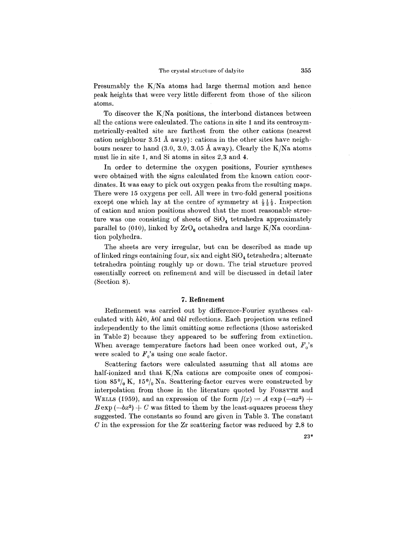Presumably the K/Na atoms had large thermal motion and hence peak heights that were very little different from those of the silicon atoms.

To discover the *KINa* positions, the interbond distances between all the cations were calculated. The cations in site 1 and its centrosymmetrically-reaIted site are farthest from the other cations (nearest cation neighbour 3.51 Å away): cations in the other sites have neighbours nearer to hand (3.0, 3.0, 3.05 A away). Clearly the *KINa* atoms must lie in site 1, and Si atoms in sites 2,3 and 4.

In order to determine the oxygen positions, Fourier syntheses were obtained with the signs calculated from the known cation coordinates. It was easy to pick out oxygen peaks from the resulting maps. There were 15 oxygens per cell. All were in two-fold general positions except one which lay at the centre of symmetry at  $\frac{1}{2}$ , Inspection of cation and anion positions showed that the most reasonable structure was one consisting of sheets of  $SiO<sub>4</sub>$  tetrahedra approximately parallel to (010), linked by  $ZrO_6$  octahedra and large  $K/Na$  coordination polyhedra.

The sheets are very irregular, but can be described as made up of linked rings containing four, six and eight  $SiO<sub>4</sub>$  tetrahedra; alternate tetrahedra pointing roughly up or down. The trial structure proved essentially correct on refinement and will be discussed in detail later (Section 8).

#### 7. **Refinement**

Refinement was carried out by difference-Fourier syntheses calculated with *hkO, hOl* and *Okl* reflections. Each projection was refined independently to the limit omitting some reflections (those asterisked in Table 2) because they appeared to be suffering from extinction. When average temperature factors had been once worked out,  $F_o$ 's were scaled to  $F_c$ 's using one scale factor.

Scattering factors were calculated assuming that all atoms are half-ionized and that *K*/Na cations are composite ones of composition *85°/0* K, *15°/0* Na. Scattering-factor curves were constructed by interpolation from those in the literature quoted by FORSYTH and WELLS (1959), and an expression of the form  $f(x) = A \exp(-ax^2) +$  $B \exp(-bx^2) + C$  was fitted to them by the least-squares process they suggested. The constants so found are given in Table 3. The constant  $C$  in the expression for the Zr scattering factor was reduced by 2.8 to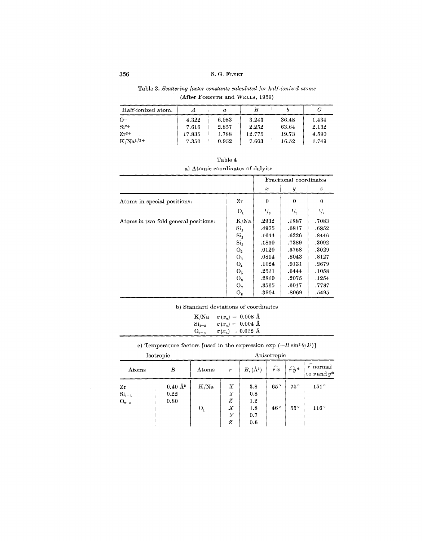## Table 3. *Scattering factor constants calculated for half-ionized atoms* (After FORSYTH and WELLS, 1959)

| Half-ionized atom. |        | $\boldsymbol{a}$ |        |       |       |
|--------------------|--------|------------------|--------|-------|-------|
| ∩−                 | 4.322  | 6.983            | 3.243  | 36.48 | 1.434 |
| $Si2+$             | 7.616  | 2.857            | 2.252  | 63.64 | 2.132 |
| $\rm Zr^{2+}$      | 17.835 | 1.788            | 12.775 | 19.73 | 4.590 |
| $\rm K/Na^{1/2+}$  | 7.350  | 0.952            | 7.603  | 16.52 | 1.749 |

|                                      |                 | Fractional coordinates |                  |                  |  |  |
|--------------------------------------|-----------------|------------------------|------------------|------------------|--|--|
|                                      |                 | $\boldsymbol{x}$       | $\boldsymbol{y}$ | $\boldsymbol{z}$ |  |  |
| Atoms in special positions:          | Zr              | $\Omega$               | $\theta$         | $\theta$         |  |  |
|                                      | O <sub>1</sub>  | $^{1}/_{2}$            | $^{1}/_{2}$      | $^{1/2}$         |  |  |
| Atoms in two-fold general positions: | K/Na            | .2932                  | .1887            | .7083            |  |  |
|                                      | $\mathrm{Si}_1$ | .4975                  | .6817            | .6852            |  |  |
|                                      | $\mathrm{Si}_2$ | .1644                  | .6226            | .8446            |  |  |
|                                      | $\mathrm{Si}_3$ | .1850                  | .7389            | .3092            |  |  |
|                                      | $O_{2}$         | .0120                  | .5768            | .3029            |  |  |
|                                      | $O_{3}$         | .0814                  | .8043            | .8127            |  |  |
|                                      | $O_4$           | .1024                  | .9131            | .2679            |  |  |
|                                      | O <sub>5</sub>  | .2511                  | .6444            | .1058            |  |  |
|                                      | $O_6$           | .2810                  | .2075            | .1254            |  |  |
|                                      | O <sub>7</sub>  | .3565                  | .6017            | .7787            |  |  |
|                                      | $O_8$           | .3904                  | .8069            | .5495            |  |  |

| Table 4                          |  |
|----------------------------------|--|
| a) Atomic coordinates of dalyite |  |

b) Standard deviations of coordinates

| K/Na                | $\sigma(x_n) = 0.008 \; \rm{\AA}$ |
|---------------------|-----------------------------------|
| $\mathrm{Si}_{1-3}$ | $\sigma(x_n) = 0.004$ Å           |
| $O_{2-R}$           | $\sigma(x_n) = 0.012 \text{ Å}$   |

|  | c) Temperature factors [used in the expression $\exp(-B \sin^2 \theta/\lambda^2)$ ] |  |  |  |  |  |  |  |
|--|-------------------------------------------------------------------------------------|--|--|--|--|--|--|--|
|--|-------------------------------------------------------------------------------------|--|--|--|--|--|--|--|

|                                        | Isotropic                              |                 | Anisotropic                                    |                          |                              |                              |                                                  |  |  |
|----------------------------------------|----------------------------------------|-----------------|------------------------------------------------|--------------------------|------------------------------|------------------------------|--------------------------------------------------|--|--|
| Atoms                                  | $\boldsymbol{B}$                       | $_{\rm{Atoms}}$ | $\boldsymbol{r}$                               | $B_r(\AA^2)$             | $\hat{rx}$                   | $\hat{r}$ y*                 | $\curvearrowright$<br>r normal<br>to x and $y^*$ |  |  |
| Zr<br>$\mathrm{Si}_{1-3}$<br>$O_{2-8}$ | $0.40 \; \text{\AA}^2$<br>0.22<br>0.80 | K/Na<br>$O_{1}$ | $\boldsymbol{X}$<br>Υ<br>Z<br>$\boldsymbol{X}$ | 3.8<br>0.8<br>1.2<br>1.8 | $65^{\circ}$<br>$46^{\circ}$ | $75^{\circ}$<br>$55^{\circ}$ | 151°<br>$116^\circ$                              |  |  |
|                                        |                                        |                 | Υ<br>Z                                         | 0.7<br>0.6               |                              |                              |                                                  |  |  |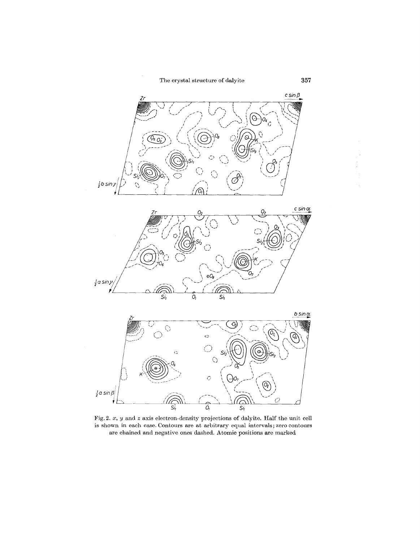



Fig. 2.  $x$ ,  $y$  and  $z$  axis electron-density projections of dalyite. Half the unit cell is shown in each case. Contours are at arbitrary equal intervals; zero contours are chained and negative ones dashed. Atomic positions are marked

357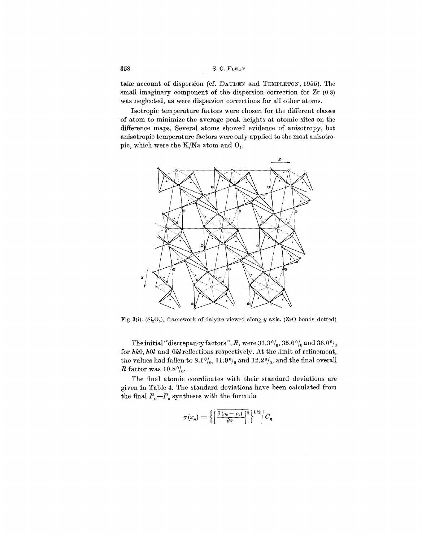take account of dispersion (cf. DAUBEN and TEMPLETON, 1955). The small imaginary component of the dispersion correction for  $Zr(0.8)$ was neglected, as were dispersion corrections for all other atoms.

Isotropic temperature factors were chosen for the different classes of atom to minimize the average peak heights at atomic sites on the difference maps. Several atoms showed evidence of anisotropy, but anisotropic temperature factors were only applied to the most anisotropic, which were the K/Na atom and  $O_1$ .



Fig. 3(i).  $(\text{Si}_2\text{O}_5)_n$  framework of dalyite viewed along *y* axis. (ZrO bonds dotted)

The initial "discrepancy factors", R, were  $31.3\frac{0}{0}$ ,  $35.0\frac{0}{0}$  and  $36.0\frac{0}{0}$ for *hkO, hOl* and *Okl*reflections respectively. At the limit of refinement, the values had fallen to  $8.1\frac{0}{0}$ ,  $11.9\frac{0}{0}$  and  $12.2\frac{0}{0}$ , and the final overall *R* factor was  $10.8\frac{0}{0}$ .

The final atomic coordinates with their standard deviations are given in Table 4. The standard deviations have been calculated from the final  $F_o-F_c$  syntheses with the formula

$$
\sigma(x_n) = \left\{ \left[ \frac{\partial (\varrho_0 - \varrho_0)}{\partial x} \right]^2 \right\}^{1/2} / C_n
$$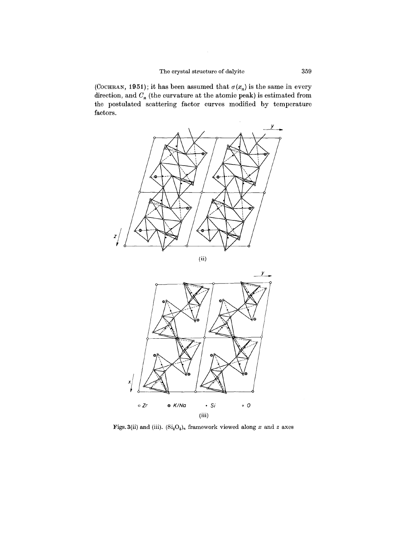(COCHRAN, 1951); it has been assumed that  $\sigma(x_n)$  is the same in every direction, and  $C_n$  (the curvature at the atomic peak) is estimated from the postulated scattering factor curves modified by temperature factors.





Figs. 3(ii) and (iii).  $(\text{Si}_2\text{O}_5)$ <sub>n</sub> framework viewed along *x* and *z* axes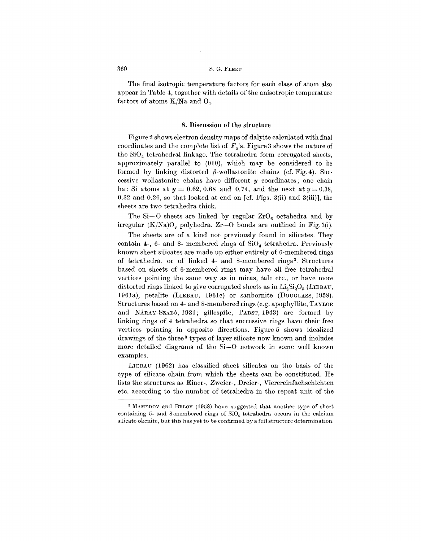The final isotropic temperature factors for each class of atom also appear in Table 4, together with details of the anisotropic temperature factors of atoms  $K/Na$  and  $O_1$ .

### 8. Discussion of the structure

Figure 2 shows electron density maps of dalyite calculated with final coordinates and the complete list of  $F_a$ 's. Figure 3 shows the nature of the  $SiO<sub>4</sub>$  tetrahedral linkage. The tetrahedra form corrugated sheets, approximately parallel to (010), which may be considered to be formed by linking distorted  $\beta$ -wollastonite chains (cf. Fig. 4). Successive wollastonite chains have different *y* coordinates; one chain has Si atoms at  $y = 0.62, 0.68$  and 0.74, and the next at  $y = 0.38$ , 0.32 and 0.26, so that looked at end on [cf. Figs. 3(ii) and 3(iii)], the sheets are two tetrahedra thick.

The Si-O sheets are linked by regular  $ZrO_6$  octahedra and by irregular  $(K/Na)O_8$  polyhedra. Zr-O bonds are outlined in Fig. 3(i).

The sheets are of a kind not previously found in silicates. They contain 4-, 6- and 8- membered rings of  $SiO<sub>4</sub>$  tetrahedra. Previously known sheet silicates are made up either entirely of 6-membered rings of tetrahedra, or of linked 4- and 8-membered rings 3. Structures based on sheets of 6-membered rings may have all free tetrahedral vertices pointing the same way as in micas, talc etc., or have more distorted rings linked to give corrugated sheets as in  $Li<sub>2</sub>Si<sub>2</sub>O<sub>5</sub>$  (LIEBAU, 1961a), petalite (LIEBAU, 1961c) or sanbornite (DOUGLASS,1958). Structures based on 4- and 8-membered rings (e.g. apophyllite, TAYLOR and NARAY-SZABÓ, 1931; gillespite, PABST, 1943) are formed by linking rings of 4 tetrahedra so that successive rings have their free vertices pointing in opposite directions. Figure 5 shows idealized drawings of the three 3 types of layer silicate now known and includes more detailed diagrams of the Si-O network in some well known examples.

LIEBAU (1962) has classified sheet silicates on the basis of the type of silicate chain from which the sheets can be constituted. He lists the structures as Einer-, Zweier-, Dreier-, Vierereinfachschichten etc. according to the number of tetrahedra in the repeat unit of the

<sup>3</sup> MAMEDOV and BELOV (1958) have suggested that another type of sheet containing 5- and 8-membered rings of  $SiO<sub>4</sub>$  tetrahedra occurs in the calcium silicate okenite, but this has yet to be confirmed by a full structure determination.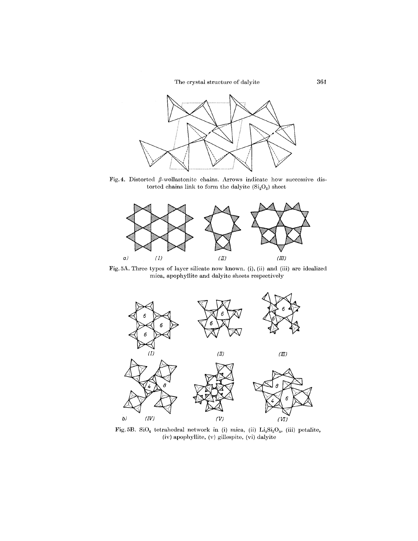

Fig. 4. Distorted  $\beta$ -wollastonite chains. Arrows indicate how successive distorted chains link to form the dalyite  $(Si<sub>2</sub>O<sub>5</sub>)$  sheet



Fig. 5A. Three types of layer silicate now known. (i), (ii) and (iii) are idealized mica, apophyJlite and dalyite sheets respectively



Fig.5B. SiO<sub>4</sub> tetrahedral network in (i) mica, (ii)  $Li_2Si_2O_5$ , (iii) petalite, (iv) apophyllite, (v) gillespite, (vi) dalyite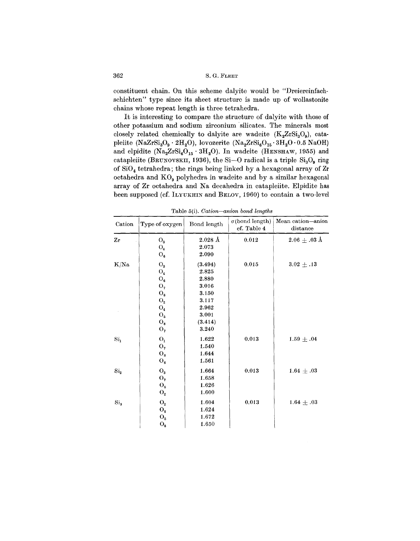constituent chain. On this scheme dalyite would be "Dreiereinfachschichten" type since its sheet structure is made up of wollastonite chains whose repeat length is three tetrahedra.

It is interesting to compare the structure of dalyite with those of other potassium and sodium zirconium silicates. The minerals most closely related chemically to dalyite are wadeite  $(K_2ZrSi_3O_9)$ , catapleiite (NaZrSi<sub>3</sub>O<sub>9</sub> · 2H<sub>2</sub>O), lovozerite (Na<sub>2</sub>ZrSi<sub>6</sub>O<sub>15</sub> · 3H<sub>2</sub>O · 0.5 NaOH) and elpidite  $(Na_2ZrSi_6O_{15}\cdot 3H_2O)$ . In wadeite (HENSHAW, 1955) and catapleiite (BRUNOVSKII, 1936), the Si-O radical is a triple  $Si_3O_9$  ring of SiO<sub>4</sub> tetrahedra; the rings being linked by a hexagonal array of Zr octahedra and KO<sub>9</sub> polyhedra in wadeite and by a similar hexagonal array of Zr octahedra and Na decahedra in catapleiite. Elpidite has been supposed (cf. ILYUKHIN and BELOV, 1960) to contain a two-level

| Cation          | Type of oxygen   | Bond length | $\sigma$ (bond length)<br>cf. Table 4 | Mean cation-anion<br>distance |
|-----------------|------------------|-------------|---------------------------------------|-------------------------------|
| Zr              | $O_{3}$          | $2.028$ Å   | 0.012                                 | $2.06\pm.03~\text{\AA}$       |
|                 | $O_4$            | 2.073       |                                       |                               |
|                 | $O_6$            | 2.090       |                                       |                               |
| K/Na            | $O_3$            | (3.494)     | 0.015                                 | $3.02 \pm .13$                |
|                 | O <sub>4</sub>   | 2.825       |                                       |                               |
|                 | $O_6$            | 2.880       |                                       |                               |
|                 | O <sub>7</sub>   | 3.016       |                                       |                               |
|                 | $\mathbf{O_8}$   | 3.150       |                                       |                               |
|                 | $\mathbf{O_{2}}$ | 3.117       |                                       |                               |
|                 | ${\rm O_4}$      | 2.962       |                                       |                               |
|                 | $O_5$            | 3.001       |                                       |                               |
|                 | $\mathbf{O_8}$   | (3.414)     |                                       |                               |
|                 | O <sub>7</sub>   | 3.240       |                                       |                               |
| $\mathrm{Si}_1$ | $O_1$            | 1.622       | 0.013                                 | $1.59 \pm .04$                |
|                 | O <sub>7</sub>   | 1.540       |                                       |                               |
|                 | $O_8$            | 1.644       |                                       |                               |
|                 | $O_6$            | 1.561       |                                       |                               |
| $\mathrm{Si}_2$ | $O_{3}$          | 1.664       | 0.013                                 | $1.64\,\pm.03$                |
|                 | O <sub>7</sub>   | 1.658       |                                       |                               |
|                 | O <sub>5</sub>   | 1.626       |                                       |                               |
|                 | $O_{2}$          | 1.600       |                                       |                               |
| $\mathrm{Si}_3$ | $\mathrm{O}_2$   | 1.604       | 0.013                                 | $1.64\pm.03$                  |
|                 | $O_4$            | 1.624       |                                       |                               |
|                 | $O_5$            | 1.672       |                                       |                               |
|                 | $O_8$            | 1.650       |                                       |                               |

Table 5(i). Cation-anion bond lengths

362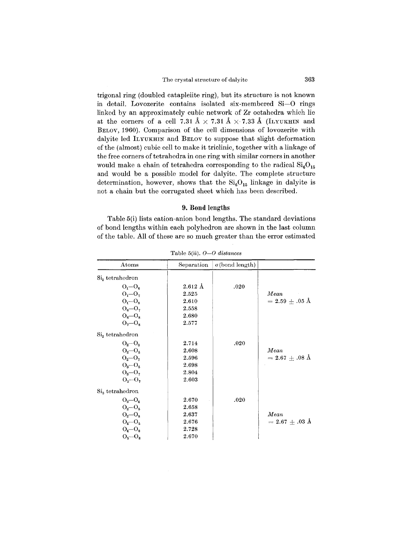trigonal ring (doubled catapleiite ring), but its structure is not known in detail. Lovozerite contains isolated six-membered Si-O rings linked by an approximately cubic network of Zr octahedra which lie at the corners of a cell 7.31 Å  $\times$  7.31 Å  $\times$  7.33 Å (ILYUKHIN and BELOV, 1960). Comparison of the cell dimensions of lovozerite with dalyite led ILYUKHIN and BELOV to suppose that slight deformation of the (almost) cubic cell to make it triclinic, together with a linkage of the free corners of tetrahedra in one ring with similar corners in another would make a chain of tetrahedra corresponding to the radical  $Si_6O_{15}$ and would be a possible model for dalyite. The complete structure determination, however, shows that the  $Si<sub>6</sub>O<sub>15</sub>$  linkage in dalyite is not a chain but the corrugated sheet which has been described.

## **9. Bond** lengths

Table 5(i) lists cation-anion bond lengths. The standard deviations of bond lengths within each polyhedron are shown in the last column of the table. All of these are so much greater than the error estimated

| Atoms                       | Separation        | $\sigma$ (bond length) |                                     |
|-----------------------------|-------------------|------------------------|-------------------------------------|
| Si, tetrahedron             |                   |                        |                                     |
| $O_1 - O_6$                 | $2.612 \text{ Å}$ | .020                   |                                     |
| $O_1 - O_7$                 | 2.525             |                        | Mean                                |
| $O_t-O_8$                   | 2.610             |                        | $= 2.59\,\pm\, .05\; \rm \AA$       |
| $O_6-O_7$                   | 2.558             |                        |                                     |
| $O_6-O_8$                   | 2.680             |                        |                                     |
| $O_7 - O_8$                 | 2.577             |                        |                                     |
| Si <sub>2</sub> tetrahedron |                   |                        |                                     |
| $O_2-O_3$                   | 2.714             | .020                   |                                     |
| $O_2 - O_5$                 | 2.608             |                        | Mean                                |
| $O_2-O_7$                   | 2.596             |                        | $= 2.67\,\pm\,08\;{\rm \AA}$        |
| $O_3-O_5$                   | 2.698             |                        |                                     |
| $O_3-O_7$                   | 2.804             |                        |                                     |
| $0, -0,$                    | 2.603             |                        |                                     |
| Si <sub>3</sub> tetrahedron |                   |                        |                                     |
| $O_2-O_4$                   | 2.670             | .020                   |                                     |
| $O_2-O_5$                   | 2.658             |                        |                                     |
| $O_2-O_8$                   | 2.637             |                        | Mean                                |
| $O_4-O_5$                   | 2.676             |                        | $= 2.67 \, \pm .03 \; \textrm{\AA}$ |
| $O_4-O_8$                   | 2.728             |                        |                                     |
| $O_5-O_8$                   | 2.670             |                        |                                     |

Table 5(ii). *0-0 distances*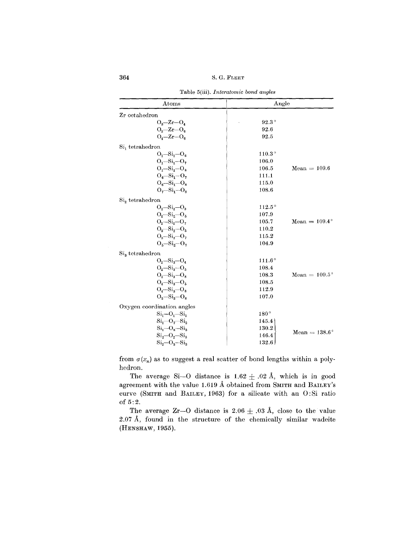364 *S.* G. FLEET

| $_{\rm Atoms}$                      | Angle           |                        |
|-------------------------------------|-----------------|------------------------|
| Zr octahedron                       |                 |                        |
| $O_3 - Zr - O_4$                    | $92.3^{\circ}$  |                        |
| $O_3 - Zr - O_6$                    | 92.6            |                        |
| $O_4 - Zr - O_6$                    | 92.5            |                        |
| Si <sub>1</sub> tetrahedron         |                 |                        |
| $O_1-Si_1- O_6$                     | $110.3^{\circ}$ |                        |
| $O_1 - Si_1 - O_2$                  | 106.0           |                        |
| $O_1-Si_1-O_8$                      | 106.5           | $Mean = 109.6$         |
| $O_e-Si_1-O_7$                      | 111.1           |                        |
| $O_6-Si_1-9$                        | 115.0           |                        |
| $O7 - Si1 - O8$                     | 108.6           |                        |
| Si <sub>2</sub> tetrahedron         |                 |                        |
| $O_2-Si_2-O_3$                      | $112.5^{\circ}$ |                        |
| $O_9 - Si_9 - O_5$                  | 107.9           |                        |
| $O_2-Si_2-O_7$                      | 105.7           | Mean $= 109.4^{\circ}$ |
| $O3 - Si2 - O5$                     | 110.2           |                        |
| $O3 - Si3 - O7$                     | 115.2           |                        |
| $O_5 - Si_2 - O_7$                  | 104.9           |                        |
| Si <sub>3</sub> tetrahedron         |                 |                        |
| $O_2-Si_3-O_4$                      | $111.6^\circ$   |                        |
| $O_9 - Si_9 - O_5$                  | 108.4           |                        |
| $O_2-Si_3=O_8$                      | 108.3           | $Mean = 109.5^{\circ}$ |
| $O_4 - Si_3 - O_5$                  | 108.5           |                        |
| $O_4-Si_3-O_8$                      | 112.9           |                        |
| $O_5-Si_2-9$                        | 107.0           |                        |
| Oxygen coordination angles          |                 |                        |
| $Si_1$ - $O_1$ - $Si_1$             | $180^{\circ}$   |                        |
| $Si_1$ -O <sub>7</sub> - $Si_2$     | 145.4           |                        |
| $Si_1 - O_8 - Si_3$                 | 130.2           | $Mean = 138.6^{\circ}$ |
| $Si2-O2-Si3$                        | 146.4           |                        |
| $\rm Si_2\text{--}O_5\text{--}Si_3$ | 132.6           |                        |

Table 5(iii). *Interatomic bond angles*

from  $\sigma(x_n)$  as to suggest a real scatter of bond lengths within a polyhedron.

The average Si-O distance is  $1.62 \pm .02$  Å, which is in good agreement with the value 1.619 A obtained from SMITH and BAILEY'S curve (SMITH and BAILEY, 1963) for a silicate with an 0: Si ratio of 5:2.

The average Zr-O distance is 2.06  $\pm$  .03 Å, close to the value 2.07 A, found in the structure of the chemically similar wadeite (HENSHAW, 1955).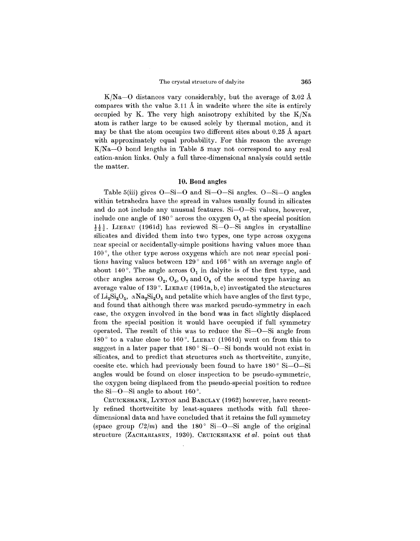*K/Na-O* distances vary considerably, but the average of 3.02 A compares with the value  $3.11 \text{ Å}$  in wadeite where the site is entirely occupied by K. The very high anisotropy exhibited by the *KINa* atom is rather large to be caused solely by thermal motion, and it may be that the atom occupies two different sites about 0.25 A apart with approximately equal probability. For this reason the average KjNa-O bond lengths in Table 5 may not correspond to any real cation-anion links. Only a full three-dimensional analysis could settle the matter.

## 10. Bond angles

Table 5(iii) gives  $O-Si-O$  and  $Si-O-Si$  angles.  $O-Si-O$  angles within tetrahedra have the spread in values usually found in silicates and do not include any unusual features. Si-O-Si values, however, include one angle of 180 $^{\circ}$  across the oxygen  $O<sub>1</sub>$  at the special position  $\frac{1}{2}$ , LIEBAU (1961d) has reviewed Si-O-Si angles in crystalline silicates and divided them into two types, one type across oxygens near special or accidentally-simple positions having values more than  $160^\circ$ , the other type across oxygens which are not near special positions having values between 129° and 166° with an average angle of about 140 $^{\circ}$ . The angle across  $O<sub>1</sub>$  in dalyite is of the first type, and other angles across  $O_2$ ,  $O_5$ ,  $O_7$  and  $O_8$  of the second type having an average value of 139°. LIEBAU (1961a, b, c) investigated the structures of  $Li_2Si_2O_5$ ,  $\alpha Na_2Si_2O_5$  and petalite which have angles of the first type, and found that although there was marked pseudo-symmetry in each case, the oxygen involved in the bond was **in** fact slightly displaced from the special position it would have occupied if full symmetry operated. The result of this was to reduce the Si-O-Si angle from 180° to a value close to 160°. LIEBAU (1961d) went on from this to suggest in a later paper that  $180^\circ$  Si--O-Si bonds would not exist in silicates, and to predict that structures such as thortveitite, zunyite, coesite etc. which had previously been found to have  $180^\circ$  Si-O-Si angles would be found on closer inspection to be pseudo-symmetric, the oxygen being displaced from the pseudo-special position to reduce the Si- $-0$ -Si angle to about 160 $^{\circ}$ .

CRUICKSHANK, LYNTON and BARCLAY (1962) however, have recently refined thortveitite by least-squares methods with full threedimensional data and have concluded that it retains the full symmetry (space group  $C2/m$ ) and the 180° Si-O-Si angle of the original structure (ZACHARIASEN, 1930). CRUICKSHANK*et al.* point out that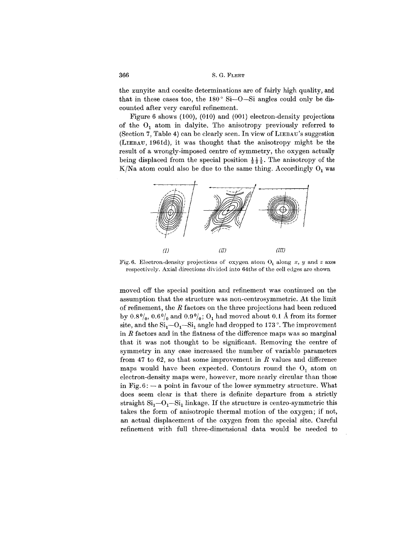the zunyite and coesite determinations are of fairly high quality, and that in these cases too, the  $180^\circ$  Si-O-Si angles could only be discounted after very careful refinement.

Figure 6 shows (100), (010) and (001) electron-density projections of the  $O_1$  atom in dalyite. The anisotropy previously referred to (Section 7, Table 4) can be clearly seen. In view of LIEBAU's suggestion (LIEBAU, 1961d), it was thought that the anisotropy might be the result of a wrongly-imposed centre of symmetry, the oxygen actually being displaced from the special position  $\frac{1}{2}$ ,  $\frac{1}{2}$ . The anisotropy of the  $K/Na$  atom could also be due to the same thing. Accordingly  $O_1$  was



Fig. 6. Electron-density projections of oxygen atom  $O_1$  along x, y and z axes respectively. Axial directions divided into 64ths of the cell edges arc shown

moved off the special position and refinement was continued on the assumption that the structure was non-centrosymmetric. At the limit of refinement, the *R* factors on the three projections had been reduced by  $0.8\%$ ,  $0.6\%$  and  $0.9\%$ ; O<sub>1</sub> had moved about 0.1 Å from its former site, and the  $Si_1-O_1-Si_1$  angle had dropped to 173°. The improvement in *R* factors and in the flatness of the difference maps was so marginal that it was not thought to be significant. Removing the centre of symmetry in any case increased the number of variable parameters from 47 to 62, so that some improvement in *R* values and difference maps would have been expected. Contours round the  $O<sub>1</sub>$  atom on electron-density maps were, however, more nearly circular than those in Fig.  $6:$   $-$  a point in favour of the lower symmetry structure. What does seem clear is that there is definite departure from a strictly straight  $Si_1-O_1-Si_1$  linkage. If the structure is centro-symmetric this takes the form of anisotropic thermal motion of the oxygen; if not, an actual displacement of the oxygen from the special site. Careful refinement with full three-dimensional data would be needed to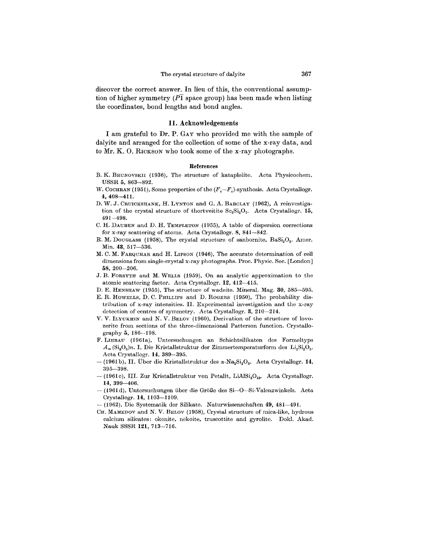discover the correct answer. In lieu of this, the conventional assumption of higher symmetry  $(P\bar{T})$  space group) has been made when listing the coordinates, bond lengths and bond angles.

## 11. Acknowledgements

I am grateful to Dr. P. GAY who provided me with the sample of dalyite and arranged for the collection of some of the x-ray data, and to Mr. K. O. RICKSON who took some of the x-ray photographs.

#### References

- B. K. BRUNOVSKII (1936), The structure of katapleiite. Acta Physicoche USSR 5, 863-892.
- W. COCHRAN (1951), Some properties of the  $(F_o-F_c)$ -synthesis. Acta Crystallogr. 4,408-411.
- D. W. J. CRUICKSHANK, H. LYNTON and G. A. BARCLAY (1962), A reinvestigation of the crystal structure of thortveitite  $Sc_2Si_2O_7$ . Acta Crystallogr. 15, 491-498.
- C. H. DAUBEN and D. H. TEMPLETON (1955), A table of dispersion corrections for x-ray scattering of atoms. Acta Crystallogr. 8, 841-842.
- R. M. DOUGLASS (1958), The crystal structure of sanbornite,  $\text{BaSi}_2\text{O}_5$ . Amer. Min. 43, 517-536.
- M. C. M. FARQUHAR and H. LIPSON (1946), The accurate determination of cell dimensions from single-crystal x-ray photographs. Proc. Physic. Soc. [London] 58, 200-206.
- J. B. FORSYTH and M. WELLS (1959), On an analytic approximation to the atomic scattering factor. Acta Crystallogr. 12, 412-415.
- D. E. HENSHAW (1955), The structure of wadeite. Mineral. Mag. 30, 585-595.
- E. R. HOWELLS, D. C. PHILLIPS and D. ROGERS (1950), The probability distribution of x-ray intensities. II. Experimental investigation and the x-ray detection of centres of symmetry. Acta Crystallogr. 3, 210-214.
- V. V. ILYUKHlN and N. V. BELOV (1960), Derivation of the structure of lovozerite from sections of the three-dimensional Patterson function. Crystallography 5, 186-198.
- F. LIEBAU (1961a), Untersuchungen an Schichtsilikaten des Formeltyps  $A_m$  (Si<sub>2</sub>O<sub>5</sub>)n. I. Die Kristallstruktur der Zimmertemperaturform des Li<sub>2</sub>Si<sub>2</sub>O<sub>5</sub>. Acta Crystallogr. 14, 389-395.
- $-$  (1961b), II. Über die Kristallstruktur des  $\alpha$ -Na<sub>2</sub>Si<sub>2</sub>O<sub>5</sub>. Acta Crystallogr. 14 395-398.
- (1961c), III. Zur Kristallstruktur von Petalit, LiAlSi<sub>4</sub>O<sub>10</sub>. Acta Crystallogr. 14, 399-406.
- (1961d), Untersuchungen über die Größe des Si—O—Si-Valenzwinkels. Act Crystallogr. 14, 1103-1109.
- (1962), Die Systematik der Silikate. Naturwissenschaften 49, 481-491.
- CH. MAMEDOV and N. V. BELOV (1958), Crystal structure of mica-like, hydrous calcium silicates: okenite, nekoite, truscottite and gyrolite. Dokl. Akad. Nauk SSSR 121, 713-716.